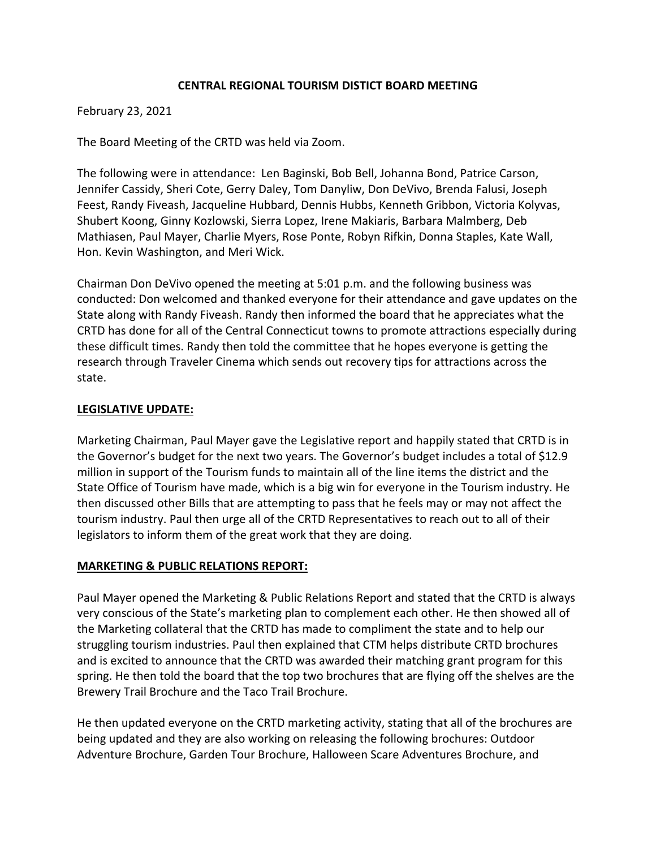### **CENTRAL REGIONAL TOURISM DISTICT BOARD MEETING**

February 23, 2021

The Board Meeting of the CRTD was held via Zoom.

The following were in attendance: Len Baginski, Bob Bell, Johanna Bond, Patrice Carson, Jennifer Cassidy, Sheri Cote, Gerry Daley, Tom Danyliw, Don DeVivo, Brenda Falusi, Joseph Feest, Randy Fiveash, Jacqueline Hubbard, Dennis Hubbs, Kenneth Gribbon, Victoria Kolyvas, Shubert Koong, Ginny Kozlowski, Sierra Lopez, Irene Makiaris, Barbara Malmberg, Deb Mathiasen, Paul Mayer, Charlie Myers, Rose Ponte, Robyn Rifkin, Donna Staples, Kate Wall, Hon. Kevin Washington, and Meri Wick.

Chairman Don DeVivo opened the meeting at 5:01 p.m. and the following business was conducted: Don welcomed and thanked everyone for their attendance and gave updates on the State along with Randy Fiveash. Randy then informed the board that he appreciates what the CRTD has done for all of the Central Connecticut towns to promote attractions especially during these difficult times. Randy then told the committee that he hopes everyone is getting the research through Traveler Cinema which sends out recovery tips for attractions across the state.

### **LEGISLATIVE UPDATE:**

Marketing Chairman, Paul Mayer gave the Legislative report and happily stated that CRTD is in the Governor's budget for the next two years. The Governor's budget includes a total of \$12.9 million in support of the Tourism funds to maintain all of the line items the district and the State Office of Tourism have made, which is a big win for everyone in the Tourism industry. He then discussed other Bills that are attempting to pass that he feels may or may not affect the tourism industry. Paul then urge all of the CRTD Representatives to reach out to all of their legislators to inform them of the great work that they are doing.

### **MARKETING & PUBLIC RELATIONS REPORT:**

Paul Mayer opened the Marketing & Public Relations Report and stated that the CRTD is always very conscious of the State's marketing plan to complement each other. He then showed all of the Marketing collateral that the CRTD has made to compliment the state and to help our struggling tourism industries. Paul then explained that CTM helps distribute CRTD brochures and is excited to announce that the CRTD was awarded their matching grant program for this spring. He then told the board that the top two brochures that are flying off the shelves are the Brewery Trail Brochure and the Taco Trail Brochure.

He then updated everyone on the CRTD marketing activity, stating that all of the brochures are being updated and they are also working on releasing the following brochures: Outdoor Adventure Brochure, Garden Tour Brochure, Halloween Scare Adventures Brochure, and